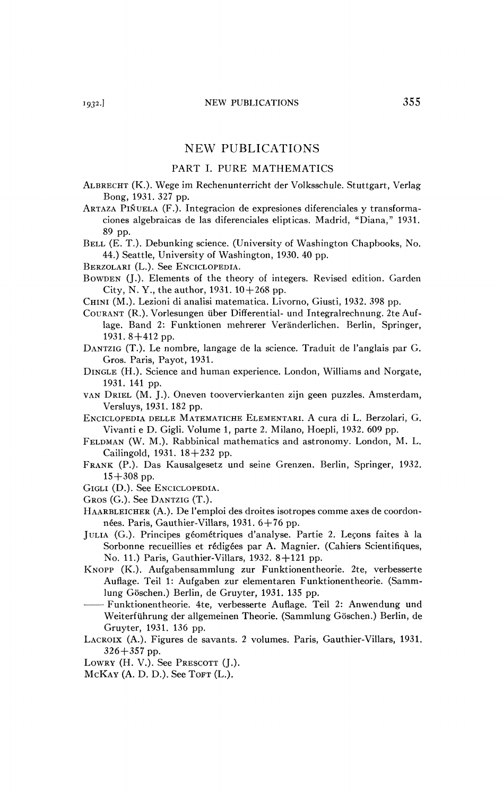## NEW PUBLICATIONS

## PART I. PURE MATHEMATICS

- ALBRECHT (K.). Wege im Rechenunterricht der Volksschule. Stuttgart, Verlag Bong, 1931. 327 pp.
- ARTAZA PINUELA (F.). Integracion de expresiones diferenciales y transformaciones algebraicas de las diferenciales elipticas. Madrid, "Diana," 1931. 89 pp.
- BELL (E. T.). Debunking science. (University of Washington Chapbooks, No. 44.) Seattle, University of Washington, 1930. 40 pp.
- BERZOLARI (L.). See ENCICLOPEDIA.
- BOWDEN (J.). Elements of the theory of integers. Revised edition. Garden City, N. Y., the author, 1931.  $10+268$  pp.
- CHINI (M.). Lezioni di analisi matematica. Livorno, Giusti, 1932. 398 pp.
- COURANT (R.). Vorlesungen über Differential- und Integralrechnung. 2te Auflage. Band 2: Funktionen mehrerer Verânderlichen. Berlin, Springer, 1931. 8+412 pp.
- DANTZIG (T.). Le nombre, langage de la science. Traduit de l'anglais par G. Gros. Paris, Payot, 1931.
- DINGLE (H.). Science and human experience. London, Williams and Norgate, 1931. 141 pp.
- VAN DRIEL (M. J.). Oneven toovervierkanten zijn geen puzzles. Amsterdam, Versluys, 1931. 182 pp.
- ENCICLOPEDIA DELLE MATEMATICHE ELEMENTARI. A cura di L. Berzolari, G. Vivanti e D. Gigli. Volume 1, parte 2. Milano, Hoepli, 1932. 609 pp.
- FELDMAN (W. M.). Rabbinical mathematics and astronomy. London, M. L. Cailingold, 1931.  $18 + 232$  pp.
- FRANK (P.). Das Kausalgesetz und seine Grenzen. Berlin, Springer, 1932.  $15+308$  pp.
- GIGLI (D.). See ENCICLOPEDIA.
- GROS (G.). See DANTZIG (T.).
- HAARBLEICHER (A.). De l'emploi des droites isotropes comme axes de coordonnées. Paris, Gauthier-Villars, 1931. 6+76 pp.
- JULIA (G.). Principes géométriques d'analyse. Partie 2. Leçons faites à la Sorbonne recueillies et rédigées par A. Magnier. (Cahiers Scientifiques, No. 11.) Paris, Gauthier-Villars, 1932. 8 + 121 pp.
- KNOPP (K.). Aufgabensammlung zur Funktionentheorie. 2te, verbesserte Auflage. Teil 1: Aufgaben zur elementaren Funktionentheorie. (Sammlung Göschen.) Berlin, de Gruyter, 1931. 135 pp.
- Funktionentheorie. 4te, verbesserte Auflage. Teil 2: Anwendung und Weiterführung der allgemeinen Theorie. (Sammlung Göschen.) Berlin, de Gruyter, 1931. 136 pp.
- LACROIX (A.). Figures de savants. 2 volumes. Paris, Gauthier-Villars, 1931. 326+357 pp.
- LOWRY (H. V.). See PRESCOTT (J.).
- McKAY (A. D. D.). See TOFT (L.).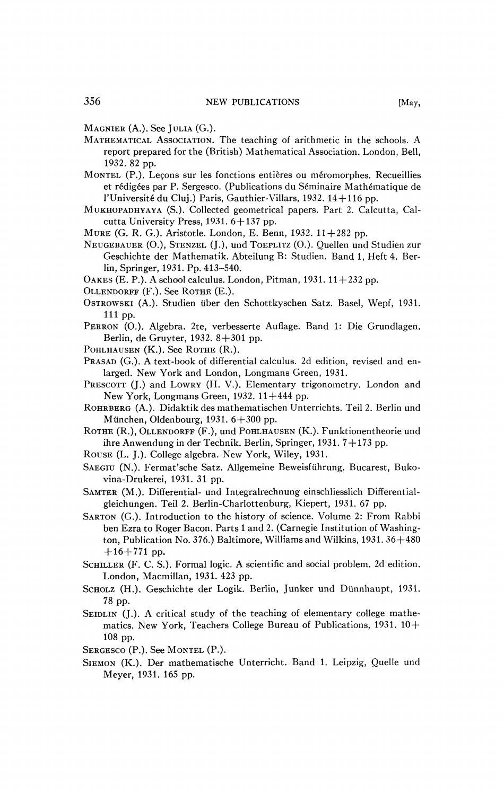MAGNIER (A.). See JULIA (G.).

- MATHEMATICAL ASSOCIATION. The teaching of arithmetic in the schools. A report prepared for the (British) Mathematical Association. London, Bell, 1932. 82 pp.
- MONTEL (P.). Leçons sur les fonctions entières ou méromorphes. Recueillies et rédigées par P. Sergesco. (Publications du Séminaire Mathématique de l'Université du Cluj.) Paris, Gauthier-Villars, 1932. 14 + 116 pp.
- MUKHOPADHYAYA (S.). Collected geometrical papers. Part 2. Calcutta, Calcutta University Press, 1931.  $6+137$  pp.
- MURE (G. R. G.). Aristotle. London, E. Benn, 1932. 11 + 282 pp.
- NEUGEBAUER (O.), STENZEL (J.), und TOEPLITZ (O.). Quellen und Studiën zur Geschichte der Mathematik. Abteilung B: Studiën. Band 1, Heft 4. Berlin, Springer, 1931. Pp. 413-540.
- OAKES (E. P.). A school calculus. London, Pitman,  $1931. 11 + 232$  pp.
- OLLENDORFF (F.). See ROTHE (E.).
- OSTROWSKI (A.). Studiën über den Schottkyschen Satz. Basel, Wepf, 1931. 111 pp.
- PERRON (O.). Algebra. 2te, verbesserte Auflage. Band 1: Die Grundlagen. Berlin, de Gruyter, 1932. 8+301 pp.
- POHLHAUSEN (K.). See ROTHE (R.).
- PRASAD (G.). A text-book of differential calculus. 2d edition, revised and enlarged. New York and London, Longmans Green, 1931.
- PRESCOTT (J.) and LOWRY (H. V.). Elementary trigonometry. London and New York, Longmans Green,  $1932$ .  $11+444$  pp.
- ROHRBERG (A.). Didaktik des mathematischen Unterrichts. Teil 2. Berlin und München, Oldenbourg, 1931. 6+300 pp.
- ROTHE (R.), OLLENDORFF (F.), und POHLHAUSEN (K.). Funktionentheorie und ihre Anwendung in der Technik. Berlin, Springer, 1931. 7 + 173 pp.
- ROUSE (L. J.). College algebra. New York, Wiley, 1931.
- SAEGIU (N.). Fermat'sche Satz. Allgemeine Beweisfiihrung. Bucarest, Bukovina-Drukerei, 1931. 31 pp.
- SAMTER (M.). Differential- und Integralrechnung einschliesslich Differentialgleichungen. Teil 2. Berlin-Charlottenburg, Kiepert, 1931. 67 pp.
- SARTON (G.). Introduction to the history of science. Volume 2: From Rabbi ben Ezra to Roger Bacon. Parts 1 and 2. (Carnegie Institution of Washington, Publication No. 376.) Baltimore, Williams and Wilkins, 1931. 36+480  $+16+771$  pp.
- SCHILLER (F. C. S.). Formal logic. A scientific and social problem. 2d edition. London, Macmillan, 1931. 423 pp.
- SCHOLZ (H.). Geschichte der Logik. Berlin, Junker und Diinnhaupt, 1931. 78 pp.
- SEIDLIN (J.). A critical study of the teaching of elementary college mathematics. New York, Teachers College Bureau of Publications,  $1931.10 +$ 108 pp.
- SERGESCO (P.). See MONTEL (P.).
- SIEMON (K.). Der mathematische Unterricht. Band 1. Leipzig, Quelle und Meyer, 1931. 165 pp.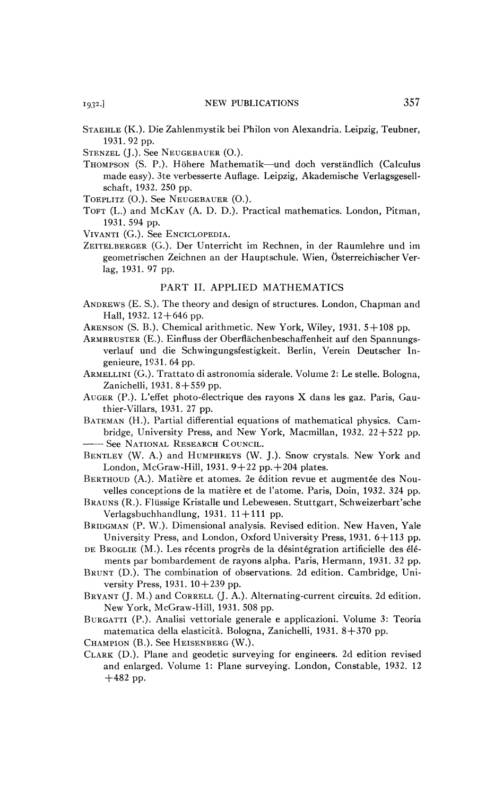STAEHLE (K.). Die Zahlenmystik bei Philon von Alexandria. Leipzig, Teubner, 1931.92 pp.

- STENZEL (J.). See NEUGEBAUER (O.).
- THOMPSON (S. P.). Höhere Mathematik—und doch verständlich (Calculus made easy). 3te verbesserte Auflage. Leipzig, Akademische Verlagsgesellschaft, 1932. 250 pp.

TOEPLITZ (O.). See NEUGEBAUER (O.).

- TOFT (L.) and MCKAY (A. D. D.). Practical mathematics. London, Pitman, 1931. 594 pp.
- VIVANTI (G.). See ENCICLOPEDIA.
- ZEITELBERGER (G.). Der Unterricht im Rechnen, in der Raumlehre und im geometrischen Zeichnen an der Hauptschule. Wien, Österreichischer Verlag, 1931. 97 pp.

## PART II. APPLIED MATHEMATICS

- ANDREWS (E. S.). The theory and design of structures. London, Chapman and Hall, 1932.  $12+646$  pp.
- ARENSON (S. B.). Chemical arithmetic. New York, Wiley, 1931. 5+108 pp.
- ARMBRUSTER (E.). Einfluss der Oberflâchenbeschaffenheit auf den Spannungsverlauf und die Schwingungsfestigkeit. Berlin, Verein Deutscher Ingenieure, 1931. 64 pp.
- ARMELLINI (G.). Trattato di astronomia siderale. Volume 2: Le stelle. Bologna, Zanichelli, 1931. 8+559 pp.
- AUGER (P.). L'effet photo-électrique des rayons X dans les gaz. Paris, Gauthier-Villars, 1931. 27 pp.
- BATEMAN (H.). Partial differential equations of mathematical physics. Cambridge, University Press, and New York, Macmillan,  $1932$ .  $22+522$  pp. See NATIONAL RESEARCH C OUNCIL.
- BENTLEY (W. A.) and HUMPHREYS (W. J.). Snow crystals. New York and London, McGraw-Hill, 1931.  $9+22$  pp. $+204$  plates.
- BERTHOUD (A.). Matière et atomes. 2e édition revue et augmentée des Nouvelles conceptions de la matière et de l'atome. Paris, Doin, 1932. 324 pp.
- BRAUNS (R.). Fliissige Kristalle und Lebewesen. Stuttgart, Schweizerbart'sche Verlagsbuchhandlung, 1931.  $11+111$  pp.
- BRIDGMAN (P. W.). Dimensional analysis. Revised edition. New Haven, Yale University Press, and London, Oxford University Press, 1931. 6 + 113 pp.
- DE BROGLIE (M.). Les récents progrès de la désintégration artificielle des éléments par bombardement de rayons alpha. Paris, Hermann, 1931. 32 pp.
- BRUNT (D.). The combination of observations. 2d edition. Cambridge, University Press,  $1931. 10 + 239$  pp.
- BRYANT (J. M.) and CORRELL (J. A.). Alternating-current circuits. 2d edition. New York, McGraw-Hill, 1931. 508 pp.
- BURGATTI (P.). Analisi vettoriale generale e applicazioni. Volume 3: Teoria matematica délia elasticità. Bologna, Zanichelli, 1931. 8+370 pp.
- CHAMPION (B.). See HEISENBERG (W.).
- CLARK (D.). Plane and geodetic surveying for engineers. 2d edition revised and enlarged. Volume 1: Plane surveying. London, Constable, 1932. 12 +482 pp.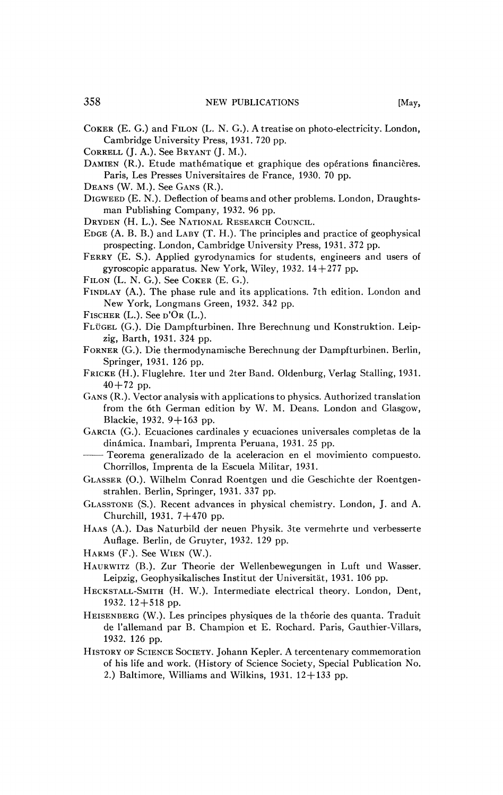- CORRELL (J. A.). See BRYANT (J. M.).
- DAMIEN (R.). Etude mathématique et graphique des opérations financières. Paris, Les Presses Universitaires de France, 1930. 70 pp.
- DEANS (W. M.). See GANS (R.).
- DIGWEED (E. N.). Deflection of beams and other problems. London, Draughtsman Publishing Company, 1932. 96 pp.
- DRYDEN (H. L.). See NATIONAL RESEARCH COUNCIL.
- EDGE (A. B. B.) and LABY (T. H.). The principles and practice of geophysical prospecting. London, Cambridge University Press, 1931. 372 pp.
- FERRY (E. S.). Applied gyrodynamics for students, engineers and users of gyroscopic apparatus. New York, Wiley, 1932.  $14+277$  pp.
- FILON (L. N. G.). See COKER (E. G.).
- FINDLAY (A.). The phase rule and its applications. 7th edition. London and New York, Longmans Green, 1932. 342 pp.
- FISCHER  $(L.)$ . See  $D'OR (L.)$ .
- FLÜGEL (G.). Die Dampfturbinen. Ihre Berechnung und Konstruktion. Leipzig, Barth, 1931. 324 pp.
- FORNER (G.). Die thermodynamische Berechnung der Dampfturbinen. Berlin, Springer, 1931. 126 pp.
- FRICKE (H.). Fluglehre. Iter und 2ter Band. Oldenburg, Verlag Stalling, 1931.  $40 + 72$  pp.
- GANS (R.). Vector analysis with applications to physics. Authorized translation from the 6th German edition by W. M. Deans. London and Glasgow, Blackie, 1932.  $9+163$  pp.
- GARCIA (G.). Ecuaciones cardinales y ecuaciones universales complétas de la dinâmica. Inambari, Imprenta Peruana, 1931. 25 pp.
- Teorema generalizado de la aceleracion en el movimiento compuesto. Chorrillos, Imprenta de la Escuela Militar, 1931.
- GLASSER (O.). Wilhelm Conrad Roentgen und die Geschichte der Roentgenstrahlen. Berlin, Springer, 1931. 337 pp.
- GLASSTONE (S.). Recent advances in physical chemistry. London, J. and A. Churchill, 1931.  $7+470$  pp.
- HAAS (A.). Das Naturbild der neuen Physik. 3te vermehrte und verbesserte Auflage. Berlin, de Gruyter, 1932. 129 pp.
- HARMS  $(F.)$ . See WIEN  $(W.)$ .
- HAURWITZ (B.). Zur Theorie der Wellenbewegungen in Luft und Wasser. Leipzig, Geophysikalisches Institut der Universitàt, 1931. 106 pp.
- HECKSTALL-SMITH (H. W.). Intermediate electrical theory. London, Dent, 1932. 12+518 pp.
- HEISENBERG (W.). Les principes physiques de la théorie des quanta. Traduit de l'allemand par B. Champion et E. Rochard. Paris, Gauthier-Villars, 1932. 126 pp.
- HISTORY OF SCIENCE SOCIETY. Johann Kepler. A tercentenary commemoration of his life and work. (History of Science Society, Special Publication No. 2.) Baltimore, Williams and Wilkins, 1931.  $12+133$  pp.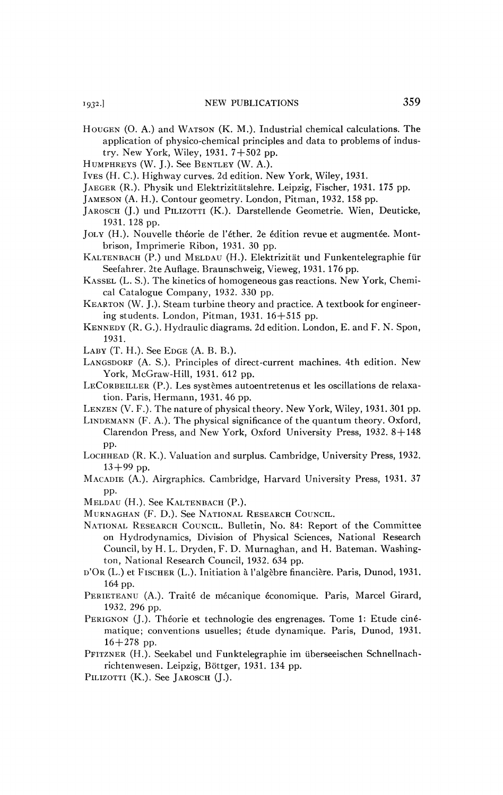- HOUGEN (O. A.) and WATSON (K. M.). Industrial chemical calculations. The application of physico-chemical principles and data to problems of industry. New York, Wiley, 1931. 7+502 pp.
- HUMPHREYS (W. J.). See BENTLEY (W. A.).
- IVES (H. C.). Highway curves. 2d edition. New York, Wiley, 1931.
- JAEGER (R.). Physik und Elektrizitatslehre. Leipzig, Fischer, 1931. 175 pp.
- JAMESON (A. H.). Contour geometry. London, Pitman, 1932. 158 pp.
- JAROSCH (J.) und PILIZOTTI (K.). Darstellende Geometrie. Wien, Deuticke, 1931. 128 pp.
- JOLY (H.). Nouvelle théorie de l'éther. 2e édition revue et augmentée. Montbrison, Imprimerie Ribon, 1931. 30 pp.
- KALTENBACH (P.) und MELDAU (H.). Elektrizitat und Funkentelegraphie fur Seefahrer. 2te Auflage. Braunschweig, Vieweg, 1931. 176 pp.
- KASSEL (L. S.). The kinetics of homogeneous gas reactions. New York, Chemical Catalogue Company, 1932. 330 pp.
- KEARTON (W. J.). Steam turbine theory and practice. A textbook for engineering students. London, Pitman,  $1931$ .  $16 + 515$  pp.
- KENNEDY (R. G.). Hydraulic diagrams. 2d edition. London, E. and F. N. Spon, 1931.
- LABY (T. H.). See EDGE (A. B. B.).
- LANGSDORF (A. S.). Principles of direct-current machines. 4th edition. New York, McGraw-Hill, 1931. 612 pp.
- LECORBEILLER (P.). Les systèmes autoentretenus et les oscillations de relaxation. Paris, Hermann, 1931. 46 pp.
- LENZEN (V. F.). The nature of physical theory. New York, Wiley, 1931. 301 pp.
- LINDEMANN (F. A.). The physical significance of the quantum theory. Oxford, Clarendon Press, and New York, Oxford University Press, 1932. 8+148 pp.
- LOCHHEAD (R. K.). Valuation and surplus. Cambridge, University Press, 1932.  $13+99$  pp.
- MACADIE (A.). Airgraphics. Cambridge, Harvard University Press, 1931. 37 pp.
- MELDAU (H.). See KALTENBACH (P.).
- MURNAGHAN (F. D.). See NATIONAL RESEARCH COUNCIL.
- NATIONAL RESEARCH COUNCIL. Bulletin, No. 84: Report of the Committee on Hydrodynamics, Division of Physical Sciences, National Research Council, by H. L. Dry den, F. D. Murnaghan, and H. Bateman. Washington, National Research Council, 1932. 634 pp.
- D'OR (L.) et FISCHER (L.). Initiation à l'algèbre financière. Paris, Dunod, 1931. 164 pp.
- PERIETEANU (A.). Traité de mécanique économique. Paris, Marcel Girard, 1932. 296 pp.
- PERIGNON (J.). Théorie et technologie des engrenages. Tome 1: Etude cinématique; conventions usuelles; étude dynamique. Paris, Dunod, 1931. 16+278 pp.
- PFITZNER (H.). Seekabel und Funktelegraphie im iiberseeischen Schnellnachrichtenwesen. Leipzig, Böttger, 1931. 134 pp.
- PILIZOTTI (K.). See JAROSCH (J.).